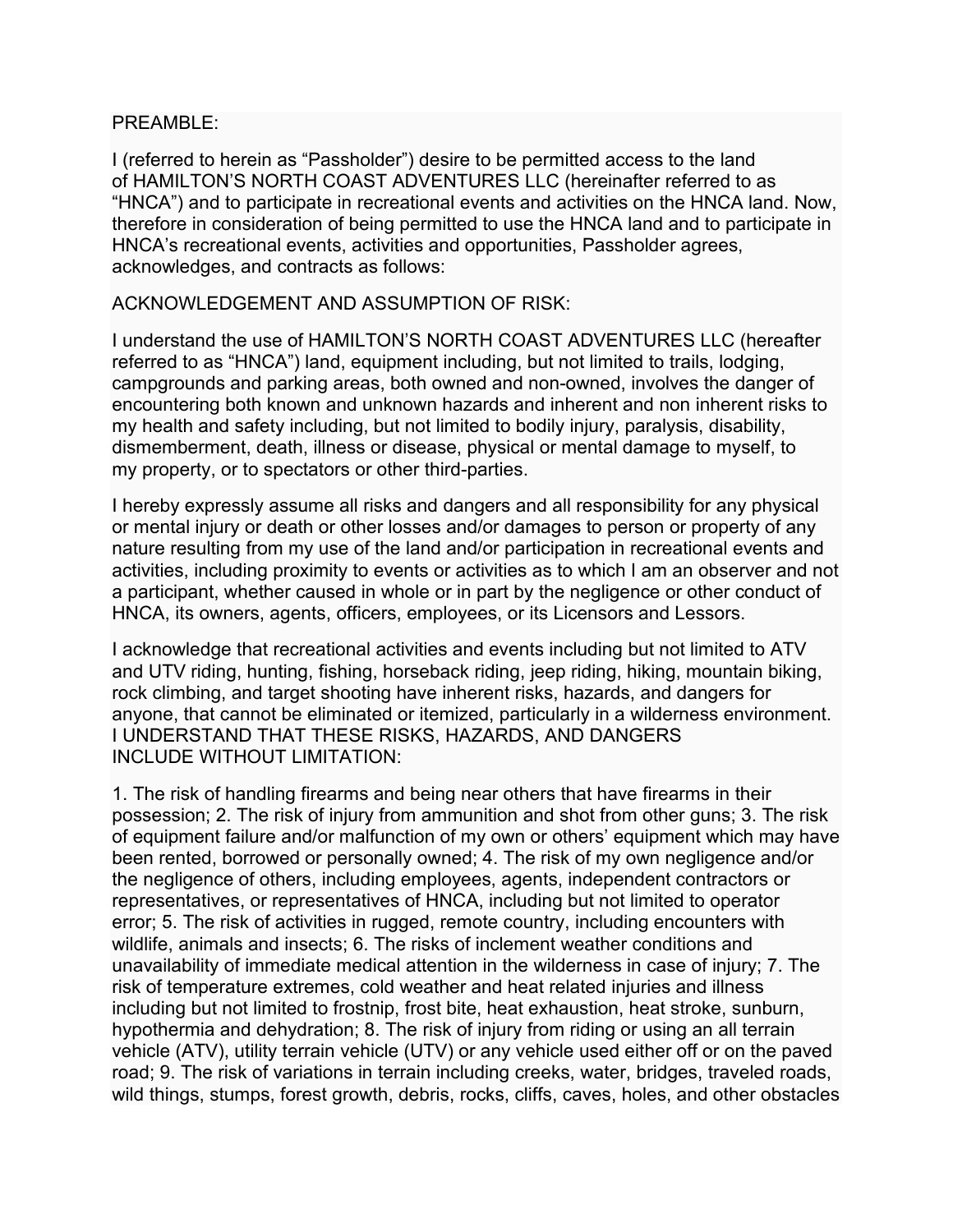## PREAMBLE:

I (referred to herein as "Passholder") desire to be permitted access to the land of HAMILTON'S NORTH COAST ADVENTURES LLC (hereinafter referred to as "HNCA") and to participate in recreational events and activities on the HNCA land. Now, therefore in consideration of being permitted to use the HNCA land and to participate in HNCA's recreational events, activities and opportunities, Passholder agrees, acknowledges, and contracts as follows:

ACKNOWLEDGEMENT AND ASSUMPTION OF RISK:

I understand the use of HAMILTON'S NORTH COAST ADVENTURES LLC (hereafter referred to as "HNCA") land, equipment including, but not limited to trails, lodging, campgrounds and parking areas, both owned and non-owned, involves the danger of encountering both known and unknown hazards and inherent and non inherent risks to my health and safety including, but not limited to bodily injury, paralysis, disability, dismemberment, death, illness or disease, physical or mental damage to myself, to my property, or to spectators or other third-parties.

I hereby expressly assume all risks and dangers and all responsibility for any physical or mental injury or death or other losses and/or damages to person or property of any nature resulting from my use of the land and/or participation in recreational events and activities, including proximity to events or activities as to which I am an observer and not a participant, whether caused in whole or in part by the negligence or other conduct of HNCA, its owners, agents, officers, employees, or its Licensors and Lessors.

I acknowledge that recreational activities and events including but not limited to ATV and UTV riding, hunting, fishing, horseback riding, jeep riding, hiking, mountain biking, rock climbing, and target shooting have inherent risks, hazards, and dangers for anyone, that cannot be eliminated or itemized, particularly in a wilderness environment. I UNDERSTAND THAT THESE RISKS, HAZARDS, AND DANGERS INCLUDE WITHOUT LIMITATION:

1. The risk of handling firearms and being near others that have firearms in their possession; 2. The risk of injury from ammunition and shot from other guns; 3. The risk of equipment failure and/or malfunction of my own or others' equipment which may have been rented, borrowed or personally owned; 4. The risk of my own negligence and/or the negligence of others, including employees, agents, independent contractors or representatives, or representatives of HNCA, including but not limited to operator error; 5. The risk of activities in rugged, remote country, including encounters with wildlife, animals and insects; 6. The risks of inclement weather conditions and unavailability of immediate medical attention in the wilderness in case of injury; 7. The risk of temperature extremes, cold weather and heat related injuries and illness including but not limited to frostnip, frost bite, heat exhaustion, heat stroke, sunburn, hypothermia and dehydration; 8. The risk of injury from riding or using an all terrain vehicle (ATV), utility terrain vehicle (UTV) or any vehicle used either off or on the paved road; 9. The risk of variations in terrain including creeks, water, bridges, traveled roads, wild things, stumps, forest growth, debris, rocks, cliffs, caves, holes, and other obstacles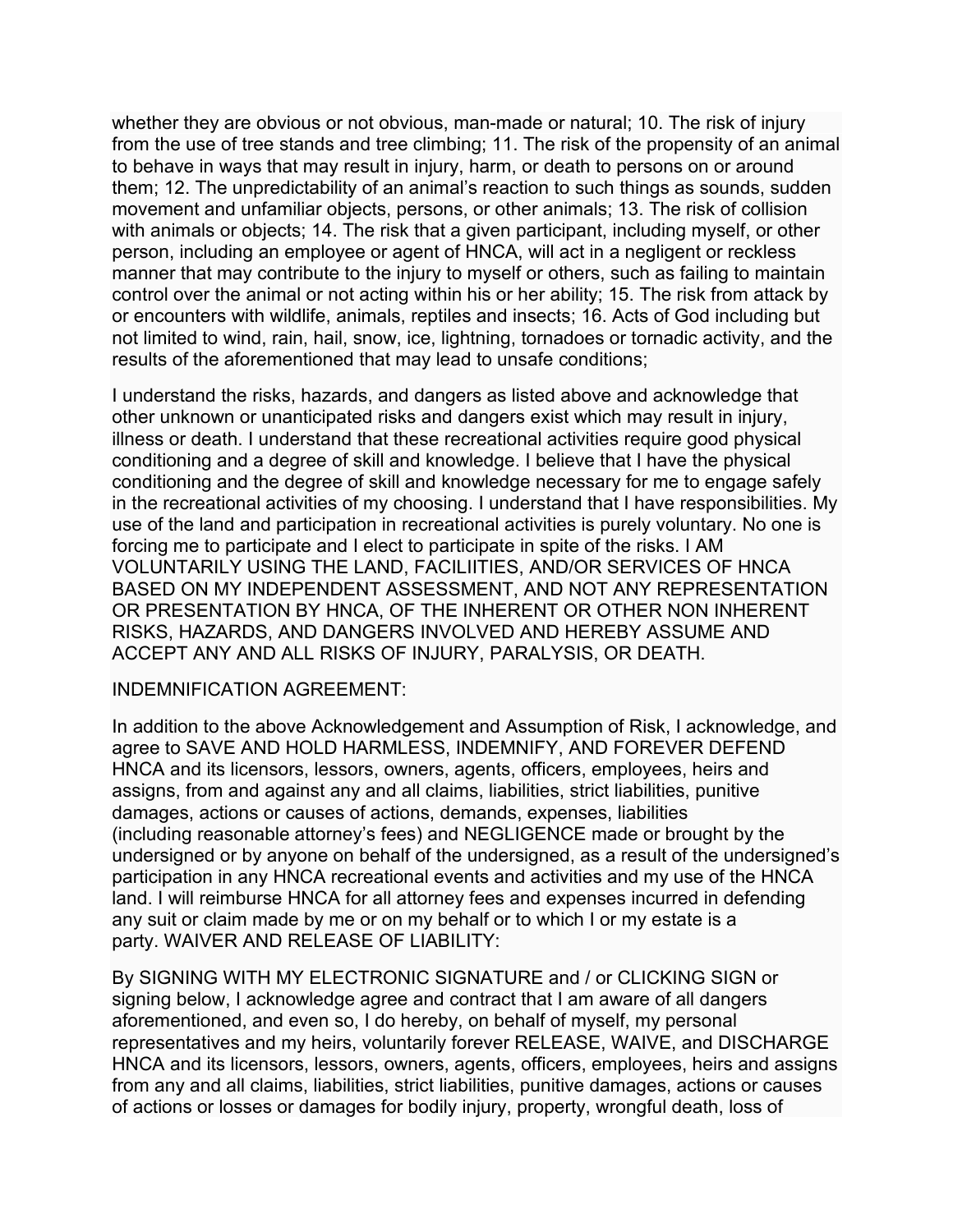whether they are obvious or not obvious, man-made or natural; 10. The risk of injury from the use of tree stands and tree climbing; 11. The risk of the propensity of an animal to behave in ways that may result in injury, harm, or death to persons on or around them; 12. The unpredictability of an animal's reaction to such things as sounds, sudden movement and unfamiliar objects, persons, or other animals; 13. The risk of collision with animals or objects; 14. The risk that a given participant, including myself, or other person, including an employee or agent of HNCA, will act in a negligent or reckless manner that may contribute to the injury to myself or others, such as failing to maintain control over the animal or not acting within his or her ability; 15. The risk from attack by or encounters with wildlife, animals, reptiles and insects; 16. Acts of God including but not limited to wind, rain, hail, snow, ice, lightning, tornadoes or tornadic activity, and the results of the aforementioned that may lead to unsafe conditions;

I understand the risks, hazards, and dangers as listed above and acknowledge that other unknown or unanticipated risks and dangers exist which may result in injury, illness or death. I understand that these recreational activities require good physical conditioning and a degree of skill and knowledge. I believe that I have the physical conditioning and the degree of skill and knowledge necessary for me to engage safely in the recreational activities of my choosing. I understand that I have responsibilities. My use of the land and participation in recreational activities is purely voluntary. No one is forcing me to participate and I elect to participate in spite of the risks. I AM VOLUNTARILY USING THE LAND, FACILIITIES, AND/OR SERVICES OF HNCA BASED ON MY INDEPENDENT ASSESSMENT, AND NOT ANY REPRESENTATION OR PRESENTATION BY HNCA, OF THE INHERENT OR OTHER NON INHERENT RISKS, HAZARDS, AND DANGERS INVOLVED AND HEREBY ASSUME AND ACCEPT ANY AND ALL RISKS OF INJURY, PARALYSIS, OR DEATH.

## INDEMNIFICATION AGREEMENT:

In addition to the above Acknowledgement and Assumption of Risk, I acknowledge, and agree to SAVE AND HOLD HARMLESS, INDEMNIFY, AND FOREVER DEFEND HNCA and its licensors, lessors, owners, agents, officers, employees, heirs and assigns, from and against any and all claims, liabilities, strict liabilities, punitive damages, actions or causes of actions, demands, expenses, liabilities (including reasonable attorney's fees) and NEGLIGENCE made or brought by the undersigned or by anyone on behalf of the undersigned, as a result of the undersigned's participation in any HNCA recreational events and activities and my use of the HNCA land. I will reimburse HNCA for all attorney fees and expenses incurred in defending any suit or claim made by me or on my behalf or to which I or my estate is a party. WAIVER AND RELEASE OF LIABILITY:

By SIGNING WITH MY ELECTRONIC SIGNATURE and / or CLICKING SIGN or signing below, I acknowledge agree and contract that I am aware of all dangers aforementioned, and even so, I do hereby, on behalf of myself, my personal representatives and my heirs, voluntarily forever RELEASE, WAIVE, and DISCHARGE HNCA and its licensors, lessors, owners, agents, officers, employees, heirs and assigns from any and all claims, liabilities, strict liabilities, punitive damages, actions or causes of actions or losses or damages for bodily injury, property, wrongful death, loss of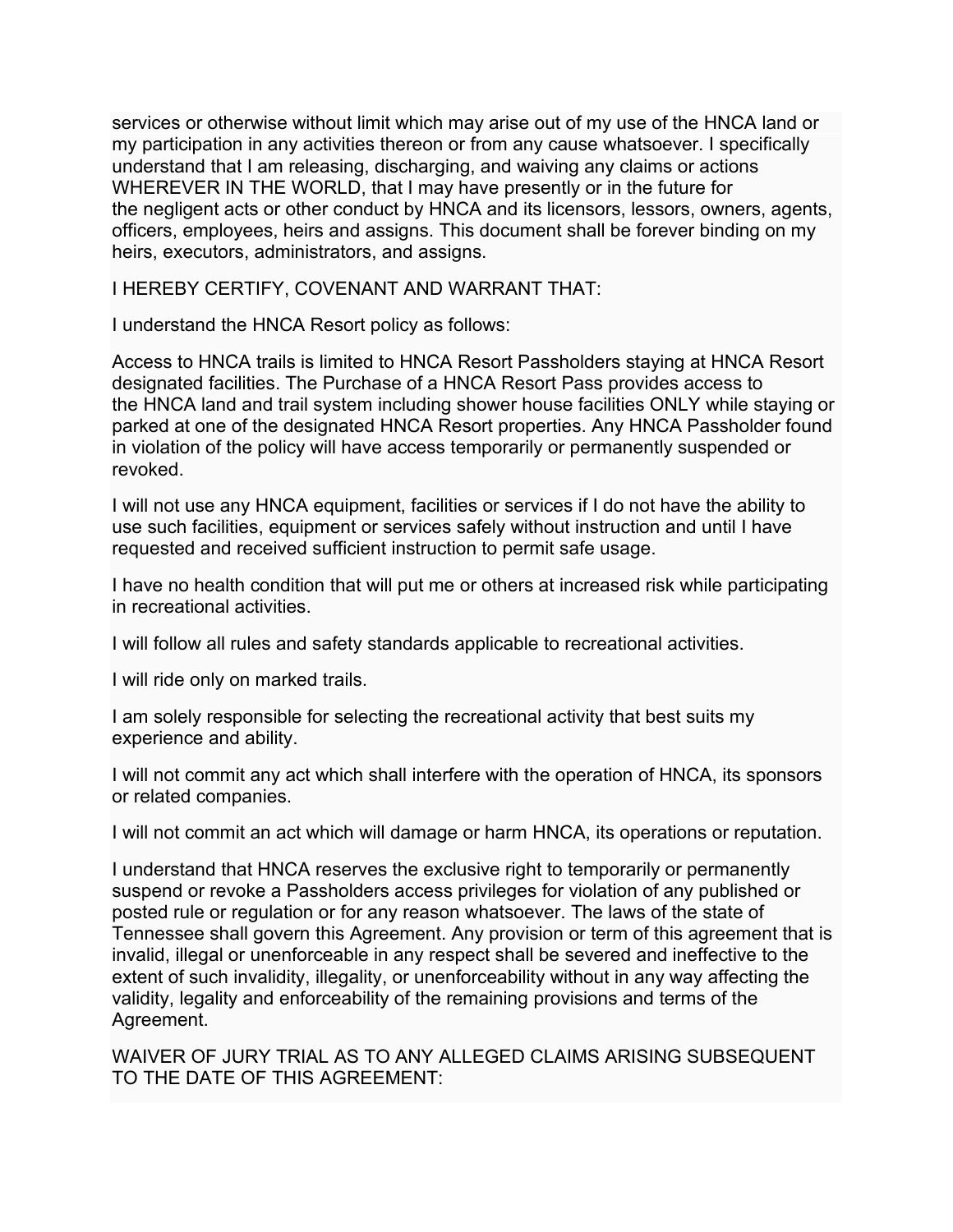services or otherwise without limit which may arise out of my use of the HNCA land or my participation in any activities thereon or from any cause whatsoever. I specifically understand that I am releasing, discharging, and waiving any claims or actions WHEREVER IN THE WORLD, that I may have presently or in the future for the negligent acts or other conduct by HNCA and its licensors, lessors, owners, agents, officers, employees, heirs and assigns. This document shall be forever binding on my heirs, executors, administrators, and assigns.

I HEREBY CERTIFY, COVENANT AND WARRANT THAT:

I understand the HNCA Resort policy as follows:

Access to HNCA trails is limited to HNCA Resort Passholders staying at HNCA Resort designated facilities. The Purchase of a HNCA Resort Pass provides access to the HNCA land and trail system including shower house facilities ONLY while staying or parked at one of the designated HNCA Resort properties. Any HNCA Passholder found in violation of the policy will have access temporarily or permanently suspended or revoked.

I will not use any HNCA equipment, facilities or services if I do not have the ability to use such facilities, equipment or services safely without instruction and until I have requested and received sufficient instruction to permit safe usage.

I have no health condition that will put me or others at increased risk while participating in recreational activities.

I will follow all rules and safety standards applicable to recreational activities.

I will ride only on marked trails.

I am solely responsible for selecting the recreational activity that best suits my experience and ability.

I will not commit any act which shall interfere with the operation of HNCA, its sponsors or related companies.

I will not commit an act which will damage or harm HNCA, its operations or reputation.

I understand that HNCA reserves the exclusive right to temporarily or permanently suspend or revoke a Passholders access privileges for violation of any published or posted rule or regulation or for any reason whatsoever. The laws of the state of Tennessee shall govern this Agreement. Any provision or term of this agreement that is invalid, illegal or unenforceable in any respect shall be severed and ineffective to the extent of such invalidity, illegality, or unenforceability without in any way affecting the validity, legality and enforceability of the remaining provisions and terms of the Agreement.

WAIVER OF JURY TRIAL AS TO ANY ALLEGED CLAIMS ARISING SUBSEQUENT TO THE DATE OF THIS AGREEMENT: